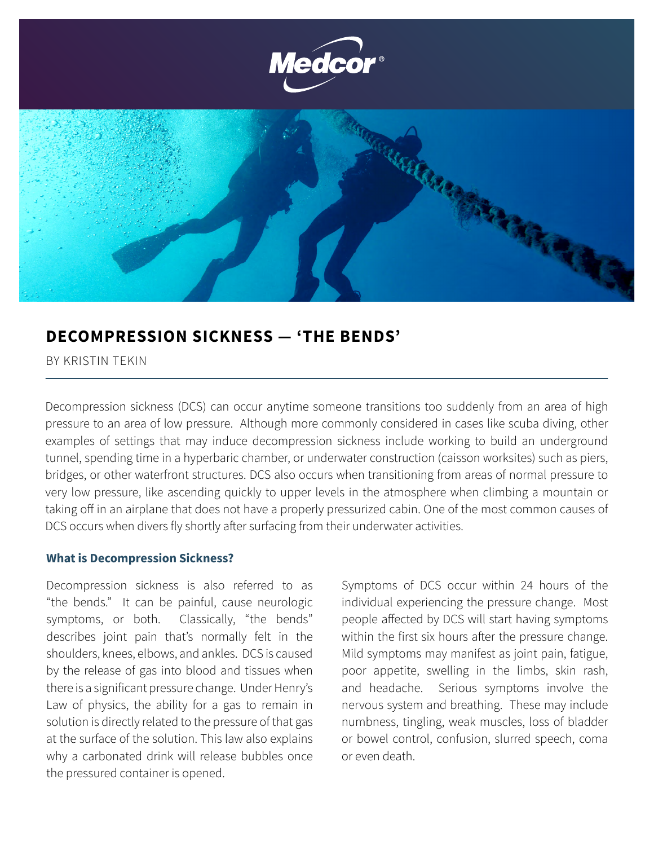

## **DECOMPRESSION SICKNESS — 'THE BENDS'**

BY KRISTIN TEKIN

Decompression sickness (DCS) can occur anytime someone transitions too suddenly from an area of high pressure to an area of low pressure. Although more commonly considered in cases like scuba diving, other examples of settings that may induce decompression sickness include working to build an underground tunnel, spending time in a hyperbaric chamber, or underwater construction (caisson worksites) such as piers, bridges, or other waterfront structures. DCS also occurs when transitioning from areas of normal pressure to very low pressure, like ascending quickly to upper levels in the atmosphere when climbing a mountain or taking off in an airplane that does not have a properly pressurized cabin. One of the most common causes of DCS occurs when divers fly shortly after surfacing from their underwater activities.

## **What is Decompression Sickness?**

Decompression sickness is also referred to as "the bends." It can be painful, cause neurologic symptoms, or both. Classically, "the bends" describes joint pain that's normally felt in the shoulders, knees, elbows, and ankles. DCS is caused by the release of gas into blood and tissues when there is a significant pressure change. Under Henry's Law of physics, the ability for a gas to remain in solution is directly related to the pressure of that gas at the surface of the solution. This law also explains why a carbonated drink will release bubbles once the pressured container is opened.

Symptoms of DCS occur within 24 hours of the individual experiencing the pressure change. Most people affected by DCS will start having symptoms within the first six hours after the pressure change. Mild symptoms may manifest as joint pain, fatigue, poor appetite, swelling in the limbs, skin rash, and headache. Serious symptoms involve the nervous system and breathing. These may include numbness, tingling, weak muscles, loss of bladder or bowel control, confusion, slurred speech, coma or even death.